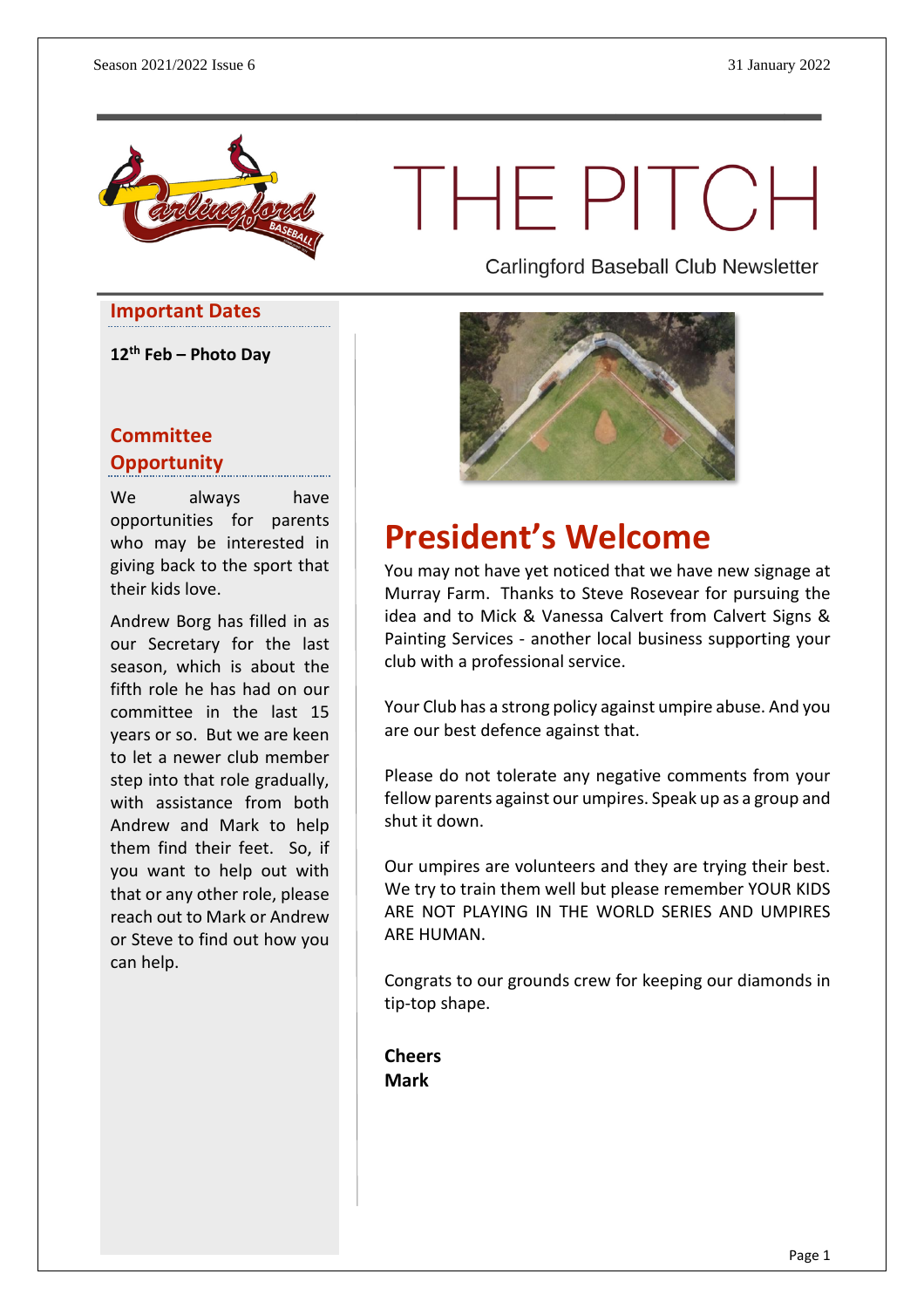

THEPITCH

**Important Dates**

**12th Feb – Photo Day**

#### **Committee Opportunity**

We always have opportunities for parents who may be interested in giving back to the sport that their kids love.

Andrew Borg has filled in as our Secretary for the last season, which is about the fifth role he has had on our committee in the last 15 years or so. But we are keen to let a newer club member step into that role gradually, with assistance from both Andrew and Mark to help them find their feet. So, if you want to help out with that or any other role, please reach out to Mark or Andrew or Steve to find out how you can help.

Carlingford Baseball Club Newsletter



# **President's Welcome**

You may not have yet noticed that we have new signage at Murray Farm. Thanks to Steve Rosevear for pursuing the idea and to Mick & Vanessa Calvert from Calvert Signs & Painting Services - another local business supporting your club with a professional service.

Your Club has a strong policy against umpire abuse. And you are our best defence against that.

Please do not tolerate any negative comments from your fellow parents against our umpires. Speak up as a group and shut it down.

Our umpires are volunteers and they are trying their best. We try to train them well but please remember YOUR KIDS ARE NOT PLAYING IN THE WORLD SERIES AND UMPIRES ARE HUMAN.

Congrats to our grounds crew for keeping our diamonds in tip-top shape.

**Cheers Mark**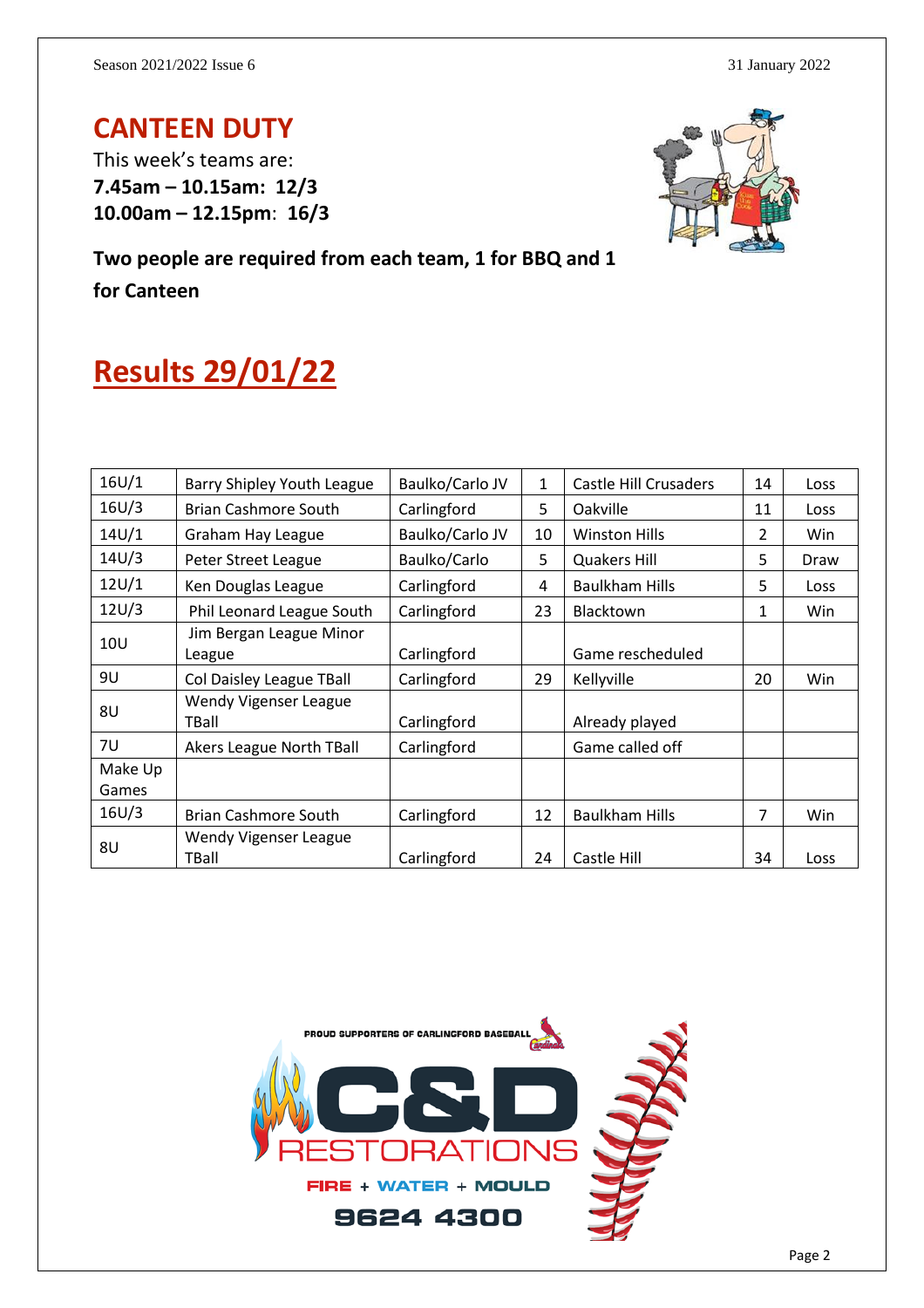### **CANTEEN DUTY**

This week's teams are: **7.45am – 10.15am: 12/3 10.00am – 12.15pm**: **16/3**



**Two people are required from each team, 1 for BBQ and 1 for Canteen**

# **Results 29/01/22**

| 16U/1            | Barry Shipley Youth League        | Baulko/Carlo JV | $\mathbf{1}$ | <b>Castle Hill Crusaders</b> | 14 | Loss |
|------------------|-----------------------------------|-----------------|--------------|------------------------------|----|------|
| 16U/3            | <b>Brian Cashmore South</b>       | Carlingford     | 5            | Oakville                     | 11 | Loss |
| 14U/1            | Graham Hay League                 | Baulko/Carlo JV | 10           | <b>Winston Hills</b>         | 2  | Win  |
| 14U/3            | Peter Street League               | Baulko/Carlo    | 5            | <b>Quakers Hill</b>          | 5  | Draw |
| 12U/1            | Ken Douglas League                | Carlingford     | 4            | <b>Baulkham Hills</b>        | 5  | Loss |
| 12U/3            | Phil Leonard League South         | Carlingford     | 23           | <b>Blacktown</b>             | 1  | Win  |
| 10 <sub>U</sub>  | Jim Bergan League Minor<br>League | Carlingford     |              | Game rescheduled             |    |      |
| 9U               | Col Daisley League TBall          | Carlingford     | 29           | Kellyville                   | 20 | Win  |
| 8U               | Wendy Vigenser League<br>TBall    | Carlingford     |              | Already played               |    |      |
| 7U               | <b>Akers League North TBall</b>   | Carlingford     |              | Game called off              |    |      |
| Make Up<br>Games |                                   |                 |              |                              |    |      |
| 16U/3            | Brian Cashmore South              | Carlingford     | 12           | <b>Baulkham Hills</b>        | 7  | Win  |
| 8U               | Wendy Vigenser League<br>TBall    | Carlingford     | 24           | Castle Hill                  | 34 | Loss |

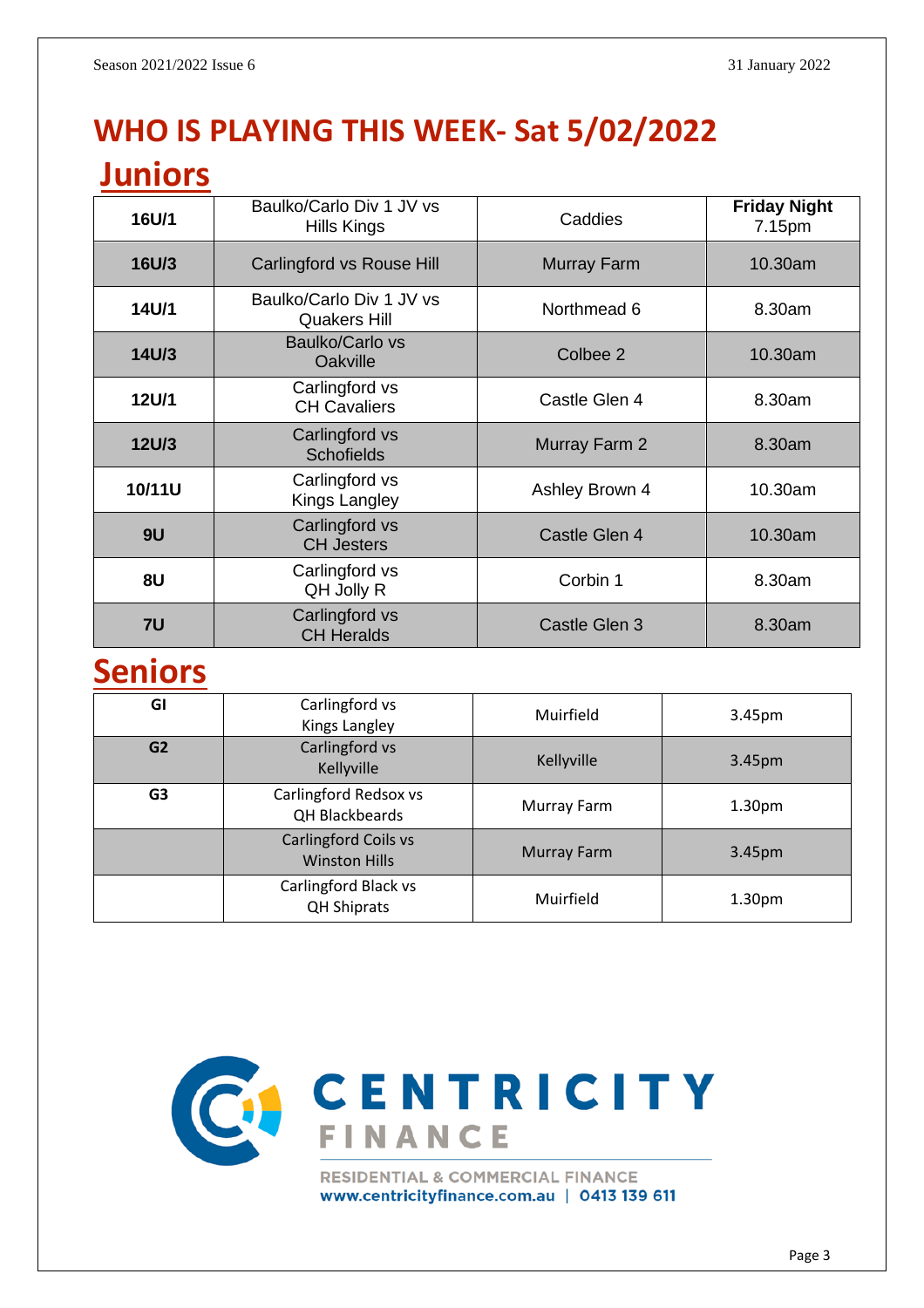# **WHO IS PLAYING THIS WEEK- Sat 5/02/2022**

### **Juniors**

| 16U/1        | Baulko/Carlo Div 1 JV vs<br>Hills Kings         | Caddies            | <b>Friday Night</b><br>7.15pm |  |
|--------------|-------------------------------------------------|--------------------|-------------------------------|--|
| 16U/3        | Carlingford vs Rouse Hill                       | <b>Murray Farm</b> | $10.30$ am                    |  |
| 14U/1        | Baulko/Carlo Div 1 JV vs<br><b>Quakers Hill</b> | Northmead 6        | 8.30am                        |  |
| 14U/3        | Baulko/Carlo vs<br>Oakville                     | Colbee 2           | 10.30am                       |  |
| <b>12U/1</b> | Carlingford vs<br><b>CH Cavaliers</b>           | Castle Glen 4      | 8.30am                        |  |
| <b>12U/3</b> | Carlingford vs<br><b>Schofields</b>             | Murray Farm 2      | 8.30am                        |  |
| 10/11U       | Carlingford vs<br>Kings Langley                 | Ashley Brown 4     | 10.30am                       |  |
| 9U           | Carlingford vs<br><b>CH Jesters</b>             | Castle Glen 4      | 10.30am                       |  |
| 8U           | Carlingford vs<br>QH Jolly R                    | Corbin 1           | 8.30am                        |  |
| 7U           | Carlingford vs<br><b>CH Heralds</b>             | Castle Glen 3      | 8.30am                        |  |

# **Seniors**

| GI             | Carlingford vs<br>Kings Langley                     | Muirfield          | 3.45pm             |
|----------------|-----------------------------------------------------|--------------------|--------------------|
| G <sub>2</sub> | Carlingford vs<br>Kellyville                        | Kellyville         | 3.45pm             |
| G <sub>3</sub> | Carlingford Redsox vs<br>QH Blackbeards             | Murray Farm        | 1.30 <sub>pm</sub> |
|                | <b>Carlingford Coils vs</b><br><b>Winston Hills</b> | <b>Murray Farm</b> | 3.45pm             |
|                | Carlingford Black vs<br><b>QH Shiprats</b>          | Muirfield          | 1.30 <sub>pm</sub> |



www.centricityfinance.com.au | 0413 139 611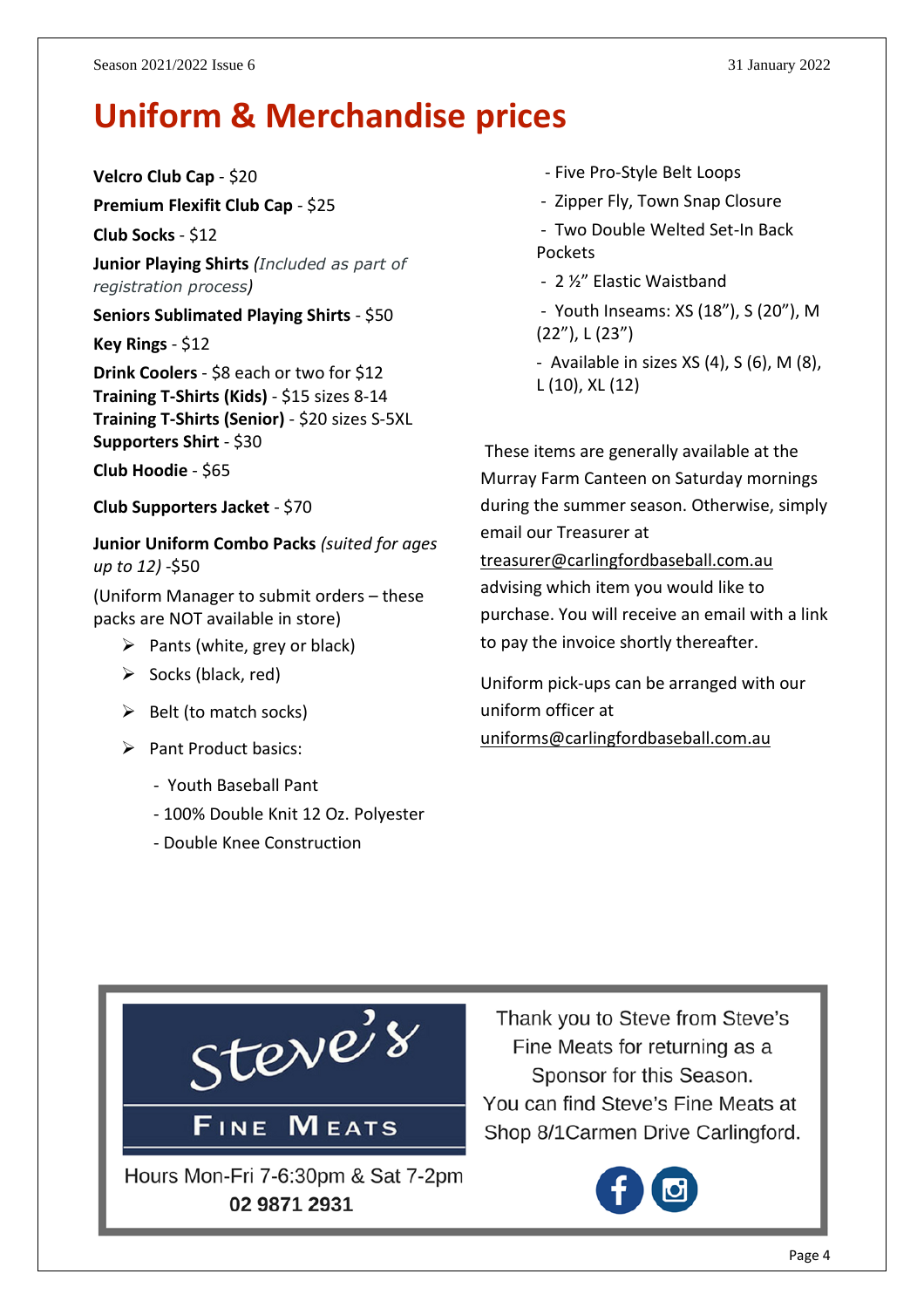# **Uniform & Merchandise prices**

**Velcro Club Cap** - \$20

**Premium Flexifit Club Cap** - \$25

**Club Socks** - \$12

**Junior Playing Shirts** *(Included as part of registration process)*

**Seniors Sublimated Playing Shirts** - \$50

**Key Rings** - \$12

**Drink Coolers** - \$8 each or two for \$12 **Training T-Shirts (Kids)** - \$15 sizes 8-14 **Training T-Shirts (Senior)** - \$20 sizes S-5XL **Supporters Shirt** - \$30

**Club Hoodie** - \$65

**Club Supporters Jacket** - \$70

**Junior Uniform Combo Packs** *(suited for ages up to 12)* -\$50

(Uniform Manager to submit orders – these packs are NOT available in store)

- $\triangleright$  Pants (white, grey or black)
- $\triangleright$  Socks (black, red)
- $\triangleright$  Belt (to match socks)
- ➢ Pant Product basics:
	- Youth Baseball Pant
	- 100% Double Knit 12 Oz. Polyester
	- Double Knee Construction
- Five Pro-Style Belt Loops
- Zipper Fly, Town Snap Closure
- Two Double Welted Set-In Back Pockets
- 2 ½" Elastic Waistband
- Youth Inseams: XS (18"), S (20"), M (22"), L (23")
- Available in sizes  $XS(4)$ ,  $S(6)$ ,  $M(8)$ , L (10), XL (12)

These items are generally available at the Murray Farm Canteen on Saturday mornings during the summer season. Otherwise, simply email our Treasurer at [treasurer@carlingfordbaseball.com.au](mailto:treasurer@carlingfordbaseball.com.au) advising which item you would like to purchase. You will receive an email with a link

Uniform pick-ups can be arranged with our uniform officer at [uniforms@carlingfordbaseball.com.au](mailto:uniforms@carlingfordbaseball.com.au)

to pay the invoice shortly thereafter.



Thank you to Steve from Steve's Fine Meats for returning as a Sponsor for this Season. You can find Steve's Fine Meats at Shop 8/1 Carmen Drive Carlingford.

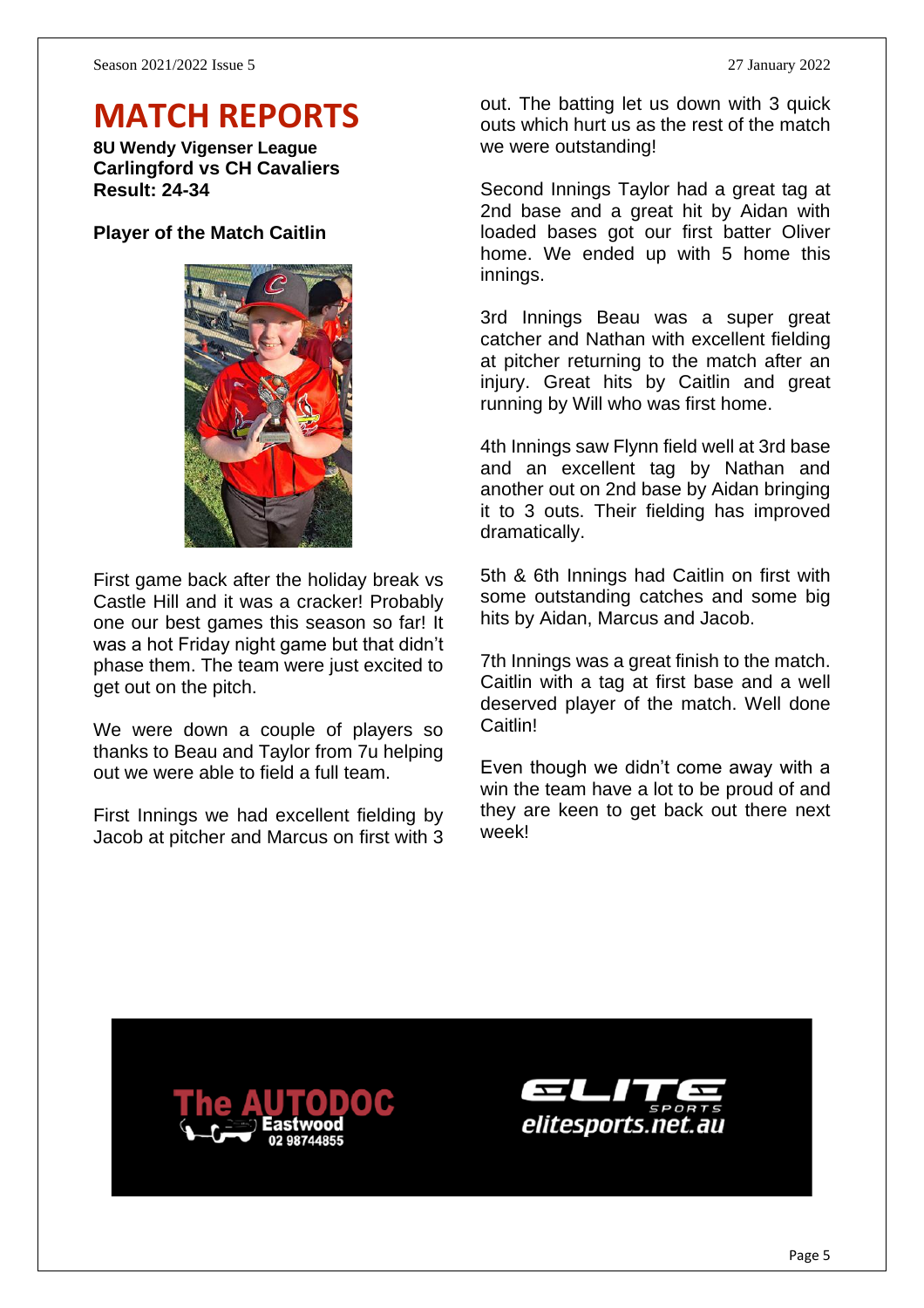# **MATCH REPORTS**

**8U Wendy Vigenser League Carlingford vs CH Cavaliers Result: 24-34**

#### **Player of the Match Caitlin**



First game back after the holiday break vs Castle Hill and it was a cracker! Probably one our best games this season so far! It was a hot Friday night game but that didn't phase them. The team were just excited to get out on the pitch.

We were down a couple of players so thanks to Beau and Taylor from 7u helping out we were able to field a full team.

First Innings we had excellent fielding by Jacob at pitcher and Marcus on first with 3 out. The batting let us down with 3 quick outs which hurt us as the rest of the match we were outstanding!

Second Innings Taylor had a great tag at 2nd base and a great hit by Aidan with loaded bases got our first batter Oliver home. We ended up with 5 home this innings.

3rd Innings Beau was a super great catcher and Nathan with excellent fielding at pitcher returning to the match after an injury. Great hits by Caitlin and great running by Will who was first home.

4th Innings saw Flynn field well at 3rd base and an excellent tag by Nathan and another out on 2nd base by Aidan bringing it to 3 outs. Their fielding has improved dramatically.

5th & 6th Innings had Caitlin on first with some outstanding catches and some big hits by Aidan, Marcus and Jacob.

7th Innings was a great finish to the match. Caitlin with a tag at first base and a well deserved player of the match. Well done Caitlin!

Even though we didn't come away with a win the team have a lot to be proud of and they are keen to get back out there next week!



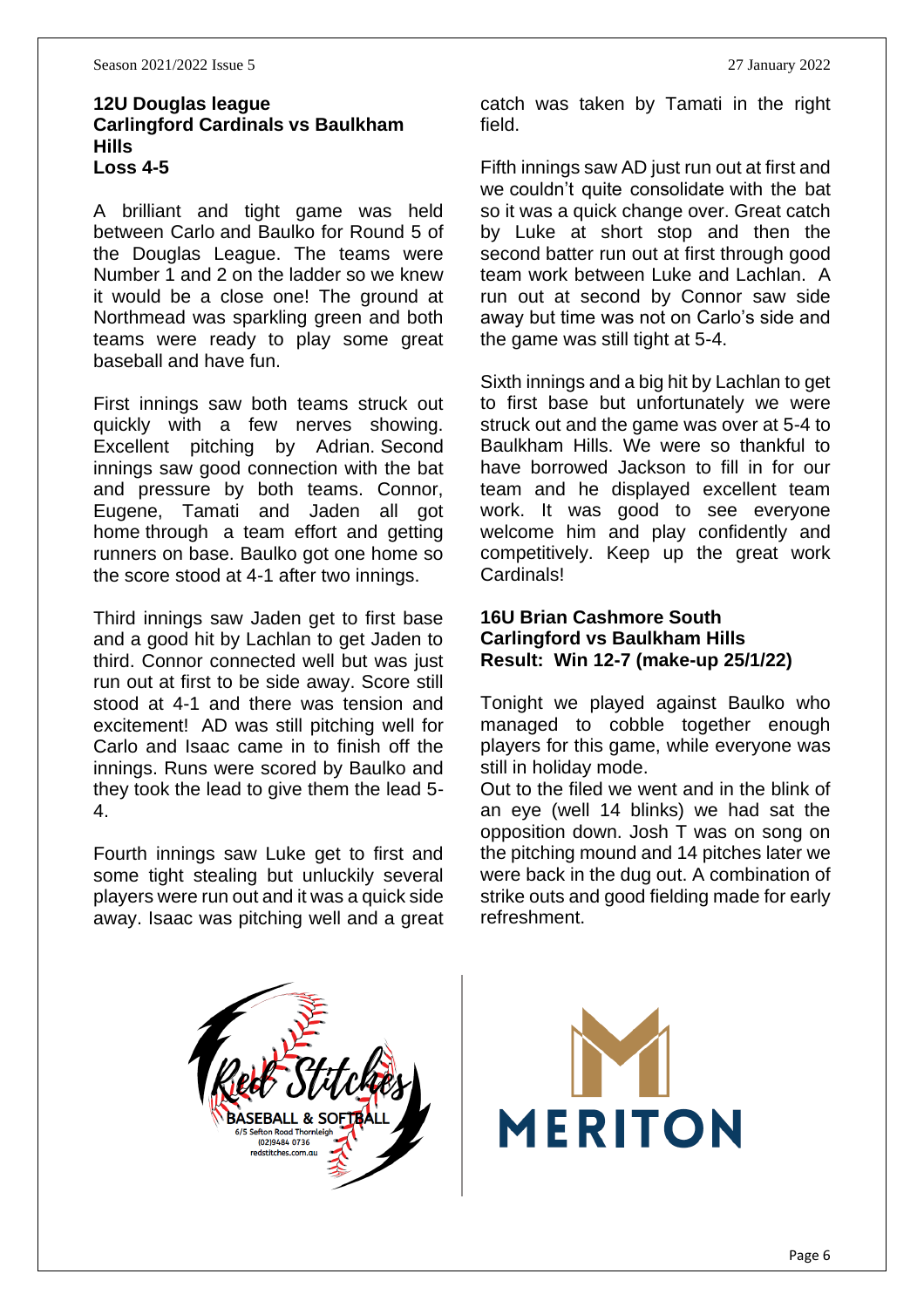#### **12U Douglas league Carlingford Cardinals vs Baulkham Hills Loss 4-5**

A brilliant and tight game was held between Carlo and Baulko for Round 5 of the Douglas League. The teams were Number 1 and 2 on the ladder so we knew it would be a close one! The ground at Northmead was sparkling green and both teams were ready to play some great baseball and have fun.

First innings saw both teams struck out quickly with a few nerves showing. Excellent pitching by Adrian. Second innings saw good connection with the bat and pressure by both teams. Connor, Eugene, Tamati and Jaden all got home through a team effort and getting runners on base. Baulko got one home so the score stood at 4-1 after two innings.

Third innings saw Jaden get to first base and a good hit by Lachlan to get Jaden to third. Connor connected well but was just run out at first to be side away. Score still stood at 4-1 and there was tension and excitement! AD was still pitching well for Carlo and Isaac came in to finish off the innings. Runs were scored by Baulko and they took the lead to give them the lead 5- 4.

Fourth innings saw Luke get to first and some tight stealing but unluckily several players were run out and it was a quick side away. Isaac was pitching well and a great catch was taken by Tamati in the right field.

Fifth innings saw AD just run out at first and we couldn't quite consolidate with the bat so it was a quick change over. Great catch by Luke at short stop and then the second batter run out at first through good team work between Luke and Lachlan. A run out at second by Connor saw side away but time was not on Carlo's side and the game was still tight at 5-4.

Sixth innings and a big hit by Lachlan to get to first base but unfortunately we were struck out and the game was over at 5-4 to Baulkham Hills. We were so thankful to have borrowed Jackson to fill in for our team and he displayed excellent team work. It was good to see everyone welcome him and play confidently and competitively. Keep up the great work Cardinals!

#### **16U Brian Cashmore South Carlingford vs Baulkham Hills Result: Win 12-7 (make-up 25/1/22)**

Tonight we played against Baulko who managed to cobble together enough players for this game, while everyone was still in holiday mode.

Out to the filed we went and in the blink of an eye (well 14 blinks) we had sat the opposition down. Josh T was on song on the pitching mound and 14 pitches later we were back in the dug out. A combination of strike outs and good fielding made for early refreshment.



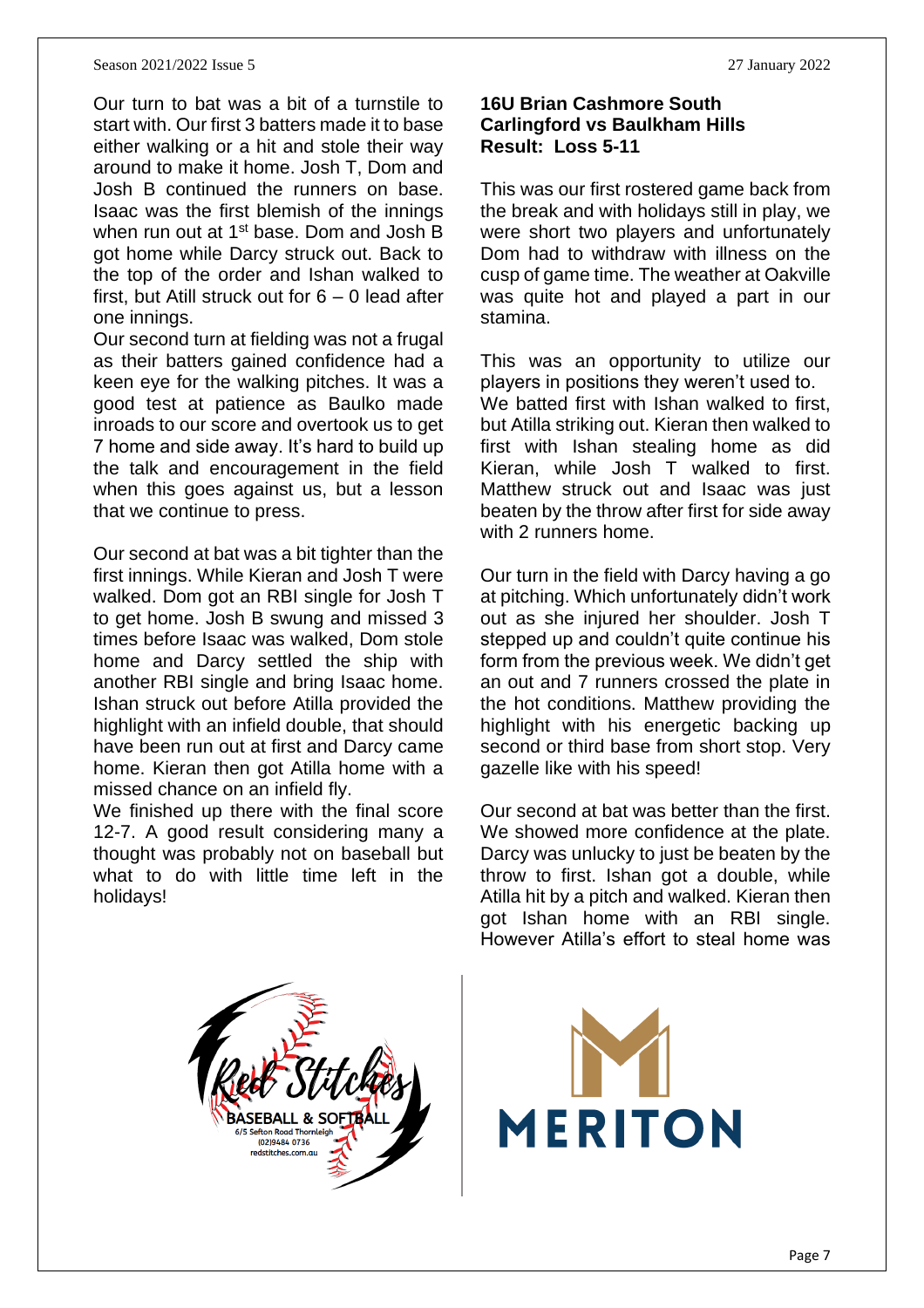#### Season 2021/2022 Issue 5 27 January 2022

Our turn to bat was a bit of a turnstile to start with. Our first 3 batters made it to base either walking or a hit and stole their way around to make it home. Josh T, Dom and Josh B continued the runners on base. Isaac was the first blemish of the innings when run out at 1<sup>st</sup> base. Dom and Josh B got home while Darcy struck out. Back to the top of the order and Ishan walked to first, but Atill struck out for 6 – 0 lead after one innings.

Our second turn at fielding was not a frugal as their batters gained confidence had a keen eye for the walking pitches. It was a good test at patience as Baulko made inroads to our score and overtook us to get 7 home and side away. It's hard to build up the talk and encouragement in the field when this goes against us, but a lesson that we continue to press.

Our second at bat was a bit tighter than the first innings. While Kieran and Josh T were walked. Dom got an RBI single for Josh T to get home. Josh B swung and missed 3 times before Isaac was walked, Dom stole home and Darcy settled the ship with another RBI single and bring Isaac home. Ishan struck out before Atilla provided the highlight with an infield double, that should have been run out at first and Darcy came home. Kieran then got Atilla home with a missed chance on an infield fly.

We finished up there with the final score 12-7. A good result considering many a thought was probably not on baseball but what to do with little time left in the holidays!

#### **16U Brian Cashmore South Carlingford vs Baulkham Hills Result: Loss 5-11**

This was our first rostered game back from the break and with holidays still in play, we were short two players and unfortunately Dom had to withdraw with illness on the cusp of game time. The weather at Oakville was quite hot and played a part in our stamina.

This was an opportunity to utilize our players in positions they weren't used to. We batted first with Ishan walked to first, but Atilla striking out. Kieran then walked to first with Ishan stealing home as did Kieran, while Josh T walked to first. Matthew struck out and Isaac was just beaten by the throw after first for side away with 2 runners home.

Our turn in the field with Darcy having a go at pitching. Which unfortunately didn't work out as she injured her shoulder. Josh T stepped up and couldn't quite continue his form from the previous week. We didn't get an out and 7 runners crossed the plate in the hot conditions. Matthew providing the highlight with his energetic backing up second or third base from short stop. Very gazelle like with his speed!

Our second at bat was better than the first. We showed more confidence at the plate. Darcy was unlucky to just be beaten by the throw to first. Ishan got a double, while Atilla hit by a pitch and walked. Kieran then got Ishan home with an RBI single. However Atilla's effort to steal home was